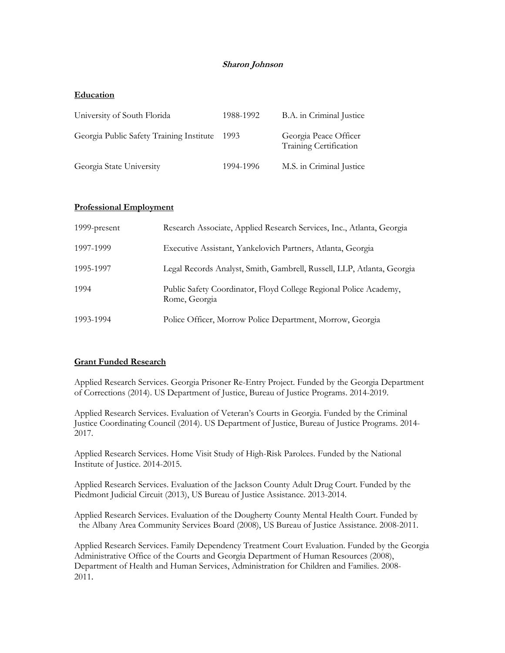# **Sharon Johnson**

### **Education**

| University of South Florida              | 1988-1992 | B.A. in Criminal Justice                        |
|------------------------------------------|-----------|-------------------------------------------------|
| Georgia Public Safety Training Institute | - 1993    | Georgia Peace Officer<br>Training Certification |
| Georgia State University                 | 1994-1996 | M.S. in Criminal Justice                        |

#### **Professional Employment**

| 1999-present | Research Associate, Applied Research Services, Inc., Atlanta, Georgia              |  |
|--------------|------------------------------------------------------------------------------------|--|
| 1997-1999    | Executive Assistant, Yankelovich Partners, Atlanta, Georgia                        |  |
| 1995-1997    | Legal Records Analyst, Smith, Gambrell, Russell, LLP, Atlanta, Georgia             |  |
| 1994         | Public Safety Coordinator, Floyd College Regional Police Academy,<br>Rome, Georgia |  |
| 1993-1994    | Police Officer, Morrow Police Department, Morrow, Georgia                          |  |

# **Grant Funded Research**

Applied Research Services. Georgia Prisoner Re-Entry Project. Funded by the Georgia Department of Corrections (2014). US Department of Justice, Bureau of Justice Programs. 2014-2019.

Applied Research Services. Evaluation of Veteran's Courts in Georgia. Funded by the Criminal Justice Coordinating Council (2014). US Department of Justice, Bureau of Justice Programs. 2014- 2017.

Applied Research Services. Home Visit Study of High-Risk Parolees. Funded by the National Institute of Justice. 2014-2015.

Applied Research Services. Evaluation of the Jackson County Adult Drug Court. Funded by the Piedmont Judicial Circuit (2013), US Bureau of Justice Assistance. 2013-2014.

Applied Research Services. Evaluation of the Dougherty County Mental Health Court. Funded by the Albany Area Community Services Board (2008), US Bureau of Justice Assistance. 2008-2011.

Applied Research Services. Family Dependency Treatment Court Evaluation. Funded by the Georgia Administrative Office of the Courts and Georgia Department of Human Resources (2008), Department of Health and Human Services, Administration for Children and Families. 2008- 2011.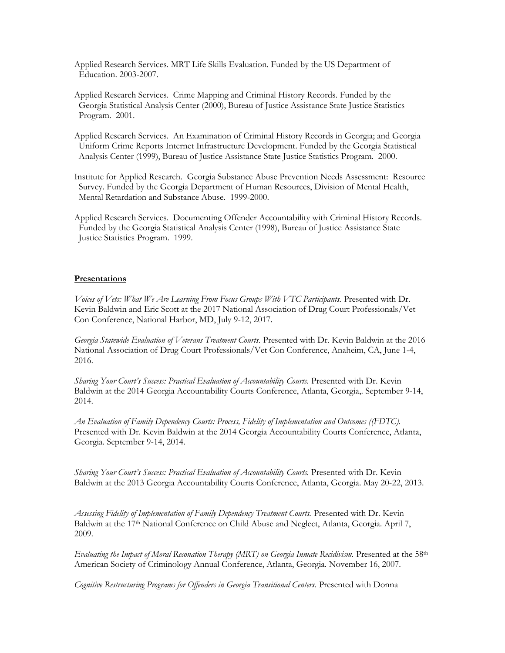Applied Research Services. MRT Life Skills Evaluation. Funded by the US Department of Education. 2003-2007.

Applied Research Services. Crime Mapping and Criminal History Records. Funded by the Georgia Statistical Analysis Center (2000), Bureau of Justice Assistance State Justice Statistics Program. 2001.

Applied Research Services. An Examination of Criminal History Records in Georgia; and Georgia Uniform Crime Reports Internet Infrastructure Development. Funded by the Georgia Statistical Analysis Center (1999), Bureau of Justice Assistance State Justice Statistics Program. 2000.

Institute for Applied Research. Georgia Substance Abuse Prevention Needs Assessment: Resource Survey. Funded by the Georgia Department of Human Resources, Division of Mental Health, Mental Retardation and Substance Abuse. 1999-2000.

Applied Research Services. Documenting Offender Accountability with Criminal History Records. Funded by the Georgia Statistical Analysis Center (1998), Bureau of Justice Assistance State Justice Statistics Program. 1999.

#### **Presentations**

*Voices of Vets: What We Are Learning From Focus Groups With VTC Participants.* Presented with Dr. Kevin Baldwin and Eric Scott at the 2017 National Association of Drug Court Professionals/Vet Con Conference, National Harbor, MD, July 9-12, 2017.

*Georgia Statewide Evaluation of Veterans Treatment Courts.* Presented with Dr. Kevin Baldwin at the 2016 National Association of Drug Court Professionals/Vet Con Conference, Anaheim, CA, June 1-4, 2016.

*Sharing Your Court's Success: Practical Evaluation of Accountability Courts.* Presented with Dr. Kevin Baldwin at the 2014 Georgia Accountability Courts Conference, Atlanta, Georgia,. September 9-14, 2014.

*An Evaluation of Family Dependency Courts: Process, Fidelity of Implementation and Outcomes ((FDTC).* Presented with Dr. Kevin Baldwin at the 2014 Georgia Accountability Courts Conference, Atlanta, Georgia. September 9-14, 2014.

*Sharing Your Court's Success: Practical Evaluation of Accountability Courts.* Presented with Dr. Kevin Baldwin at the 2013 Georgia Accountability Courts Conference, Atlanta, Georgia. May 20-22, 2013.

*Assessing Fidelity of Implementation of Family Dependency Treatment Courts.* Presented with Dr. Kevin Baldwin at the 17<sup>th</sup> National Conference on Child Abuse and Neglect, Atlanta, Georgia. April 7, 2009.

*Evaluating the Impact of Moral Reconation Therapy (MRT) on Georgia Inmate Recidivism.* Presented at the 58<sup>th</sup> American Society of Criminology Annual Conference, Atlanta, Georgia. November 16, 2007.

*Cognitive Restructuring Programs for Offenders in Georgia Transitional Centers.* Presented with Donna